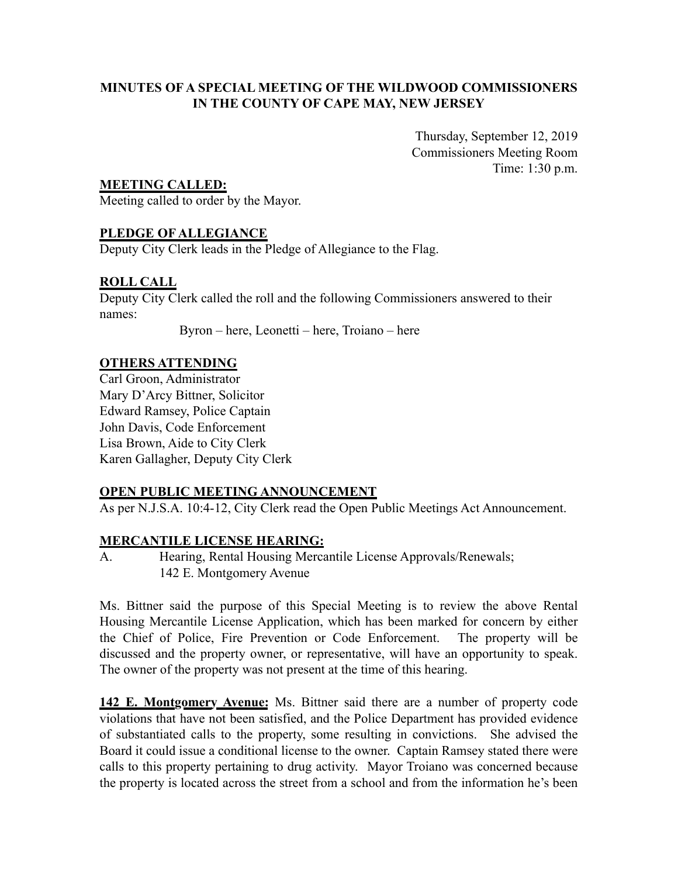# **MINUTES OF A SPECIAL MEETING OF THE WILDWOOD COMMISSIONERS IN THE COUNTY OF CAPE MAY, NEW JERSEY**

Thursday, September 12, 2019 Commissioners Meeting Room Time: 1:30 p.m.

# **MEETING CALLED:**

Meeting called to order by the Mayor.

# **PLEDGE OF ALLEGIANCE**

Deputy City Clerk leads in the Pledge of Allegiance to the Flag.

# **ROLL CALL**

Deputy City Clerk called the roll and the following Commissioners answered to their names:

Byron – here, Leonetti – here, Troiano – here

### **OTHERS ATTENDING**

Carl Groon, Administrator Mary D'Arcy Bittner, Solicitor Edward Ramsey, Police Captain John Davis, Code Enforcement Lisa Brown, Aide to City Clerk Karen Gallagher, Deputy City Clerk

### **OPEN PUBLIC MEETING ANNOUNCEMENT**

As per N.J.S.A. 10:4-12, City Clerk read the Open Public Meetings Act Announcement.

### **MERCANTILE LICENSE HEARING:**

A. Hearing, Rental Housing Mercantile License Approvals/Renewals; 142 E. Montgomery Avenue

Ms. Bittner said the purpose of this Special Meeting is to review the above Rental Housing Mercantile License Application, which has been marked for concern by either the Chief of Police, Fire Prevention or Code Enforcement. The property will be discussed and the property owner, or representative, will have an opportunity to speak. The owner of the property was not present at the time of this hearing.

**142 E. Montgomery Avenue:** Ms. Bittner said there are a number of property code violations that have not been satisfied, and the Police Department has provided evidence of substantiated calls to the property, some resulting in convictions. She advised the Board it could issue a conditional license to the owner. Captain Ramsey stated there were calls to this property pertaining to drug activity. Mayor Troiano was concerned because the property is located across the street from a school and from the information he's been